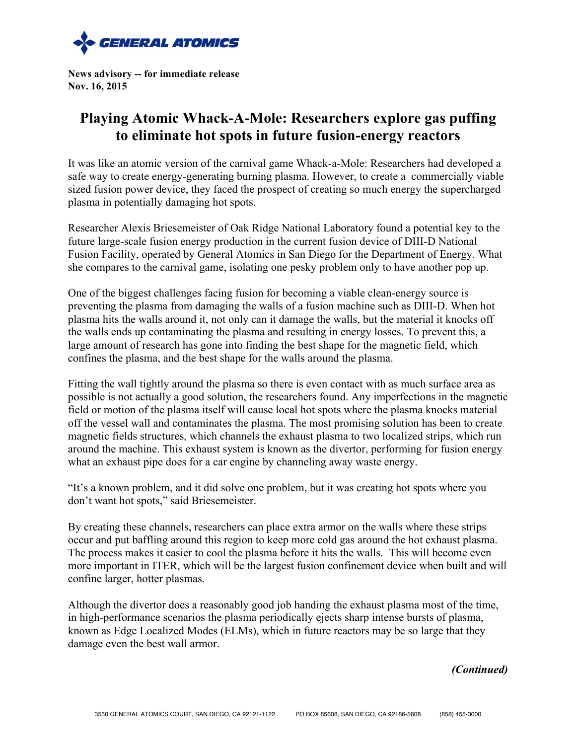

**News advisory -- for immediate release Nov. 16, 2015**

## **Playing Atomic Whack-A-Mole: Researchers explore gas puffing to eliminate hot spots in future fusion-energy reactors**

It was like an atomic version of the carnival game Whack-a-Mole: Researchers had developed a safe way to create energy-generating burning plasma. However, to create a commercially viable sized fusion power device, they faced the prospect of creating so much energy the supercharged plasma in potentially damaging hot spots.

Researcher Alexis Briesemeister of Oak Ridge National Laboratory found a potential key to the future large-scale fusion energy production in the current fusion device of DIII-D National Fusion Facility, operated by General Atomics in San Diego for the Department of Energy. What she compares to the carnival game, isolating one pesky problem only to have another pop up.

One of the biggest challenges facing fusion for becoming a viable clean-energy source is preventing the plasma from damaging the walls of a fusion machine such as DIII-D. When hot plasma hits the walls around it, not only can it damage the walls, but the material it knocks off the walls ends up contaminating the plasma and resulting in energy losses. To prevent this, a large amount of research has gone into finding the best shape for the magnetic field, which confines the plasma, and the best shape for the walls around the plasma.

Fitting the wall tightly around the plasma so there is even contact with as much surface area as possible is not actually a good solution, the researchers found. Any imperfections in the magnetic field or motion of the plasma itself will cause local hot spots where the plasma knocks material off the vessel wall and contaminates the plasma. The most promising solution has been to create magnetic fields structures, which channels the exhaust plasma to two localized strips, which run around the machine. This exhaust system is known as the divertor, performing for fusion energy what an exhaust pipe does for a car engine by channeling away waste energy.

"It's a known problem, and it did solve one problem, but it was creating hot spots where you don't want hot spots," said Briesemeister.

By creating these channels, researchers can place extra armor on the walls where these strips occur and put baffling around this region to keep more cold gas around the hot exhaust plasma. The process makes it easier to cool the plasma before it hits the walls. This will become even more important in ITER, which will be the largest fusion confinement device when built and will confine larger, hotter plasmas.

Although the divertor does a reasonably good job handing the exhaust plasma most of the time, in high-performance scenarios the plasma periodically ejects sharp intense bursts of plasma, known as Edge Localized Modes (ELMs), which in future reactors may be so large that they damage even the best wall armor.

*(Continued)*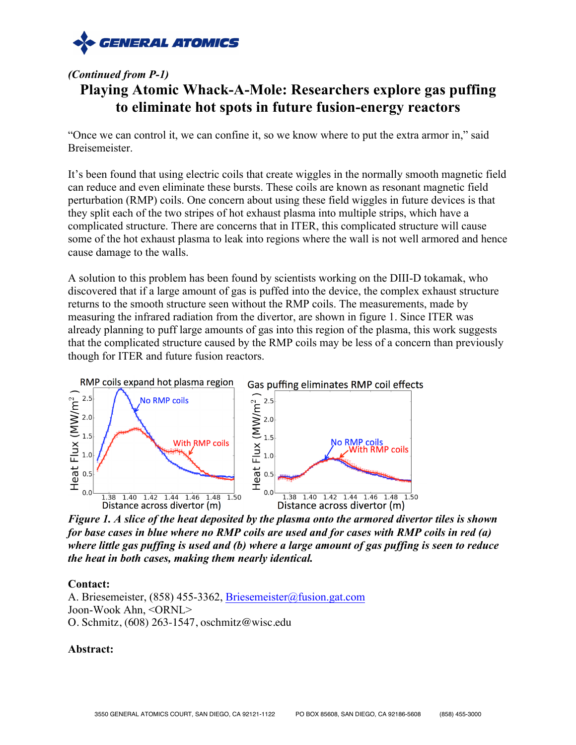

## *(Continued from P-1)* **Playing Atomic Whack-A-Mole: Researchers explore gas puffing to eliminate hot spots in future fusion-energy reactors**

"Once we can control it, we can confine it, so we know where to put the extra armor in," said Breisemeister.

It's been found that using electric coils that create wiggles in the normally smooth magnetic field can reduce and even eliminate these bursts. These coils are known as resonant magnetic field perturbation (RMP) coils. One concern about using these field wiggles in future devices is that they split each of the two stripes of hot exhaust plasma into multiple strips, which have a complicated structure. There are concerns that in ITER, this complicated structure will cause some of the hot exhaust plasma to leak into regions where the wall is not well armored and hence cause damage to the walls.

A solution to this problem has been found by scientists working on the DIII-D tokamak, who discovered that if a large amount of gas is puffed into the device, the complex exhaust structure returns to the smooth structure seen without the RMP coils. The measurements, made by measuring the infrared radiation from the divertor, are shown in figure 1. Since ITER was already planning to puff large amounts of gas into this region of the plasma, this work suggests that the complicated structure caused by the RMP coils may be less of a concern than previously though for ITER and future fusion reactors.



*Figure 1. A slice of the heat deposited by the plasma onto the armored divertor tiles is shown for base cases in blue where no RMP coils are used and for cases with RMP coils in red (a) where little gas puffing is used and (b) where a large amount of gas puffing is seen to reduce the heat in both cases, making them nearly identical.*

## **Contact:**

A. Briesemeister, (858) 455-3362, Briesemeister@fusion.gat.com Joon-Wook Ahn, <ORNL> O. Schmitz, (608) 263-1547, oschmitz@wisc.edu

## **Abstract:**